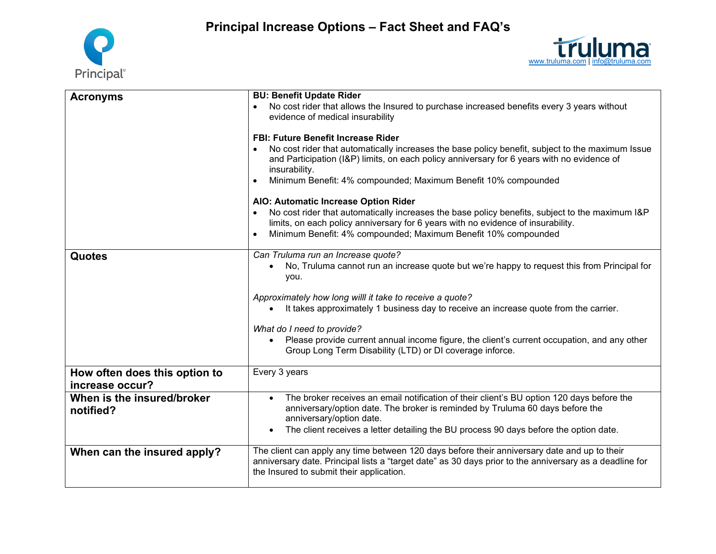**Principal Increase Options – Fact Sheet and FAQ's**





| <b>Acronyms</b>                                  | <b>BU: Benefit Update Rider</b>                                                                                                                                                                                                                                                                                                                                                                                                                                                                                                                                                                      |
|--------------------------------------------------|------------------------------------------------------------------------------------------------------------------------------------------------------------------------------------------------------------------------------------------------------------------------------------------------------------------------------------------------------------------------------------------------------------------------------------------------------------------------------------------------------------------------------------------------------------------------------------------------------|
|                                                  | No cost rider that allows the Insured to purchase increased benefits every 3 years without<br>$\bullet$<br>evidence of medical insurability                                                                                                                                                                                                                                                                                                                                                                                                                                                          |
|                                                  | <b>FBI: Future Benefit Increase Rider</b><br>No cost rider that automatically increases the base policy benefit, subject to the maximum Issue<br>$\bullet$<br>and Participation (I&P) limits, on each policy anniversary for 6 years with no evidence of<br>insurability.<br>Minimum Benefit: 4% compounded; Maximum Benefit 10% compounded<br>$\bullet$<br>AIO: Automatic Increase Option Rider<br>No cost rider that automatically increases the base policy benefits, subject to the maximum I&P<br>$\bullet$<br>limits, on each policy anniversary for 6 years with no evidence of insurability. |
|                                                  | Minimum Benefit: 4% compounded; Maximum Benefit 10% compounded<br>$\bullet$                                                                                                                                                                                                                                                                                                                                                                                                                                                                                                                          |
| <b>Quotes</b>                                    | Can Truluma run an Increase quote?<br>No, Truluma cannot run an increase quote but we're happy to request this from Principal for<br>$\bullet$<br>you.<br>Approximately how long willl it take to receive a quote?<br>It takes approximately 1 business day to receive an increase quote from the carrier.<br>What do I need to provide?<br>Please provide current annual income figure, the client's current occupation, and any other<br>$\bullet$<br>Group Long Term Disability (LTD) or DI coverage inforce.                                                                                     |
|                                                  |                                                                                                                                                                                                                                                                                                                                                                                                                                                                                                                                                                                                      |
| How often does this option to<br>increase occur? | Every 3 years                                                                                                                                                                                                                                                                                                                                                                                                                                                                                                                                                                                        |
| When is the insured/broker<br>notified?          | The broker receives an email notification of their client's BU option 120 days before the<br>anniversary/option date. The broker is reminded by Truluma 60 days before the<br>anniversary/option date.<br>The client receives a letter detailing the BU process 90 days before the option date.                                                                                                                                                                                                                                                                                                      |
| When can the insured apply?                      | The client can apply any time between 120 days before their anniversary date and up to their<br>anniversary date. Principal lists a "target date" as 30 days prior to the anniversary as a deadline for<br>the Insured to submit their application.                                                                                                                                                                                                                                                                                                                                                  |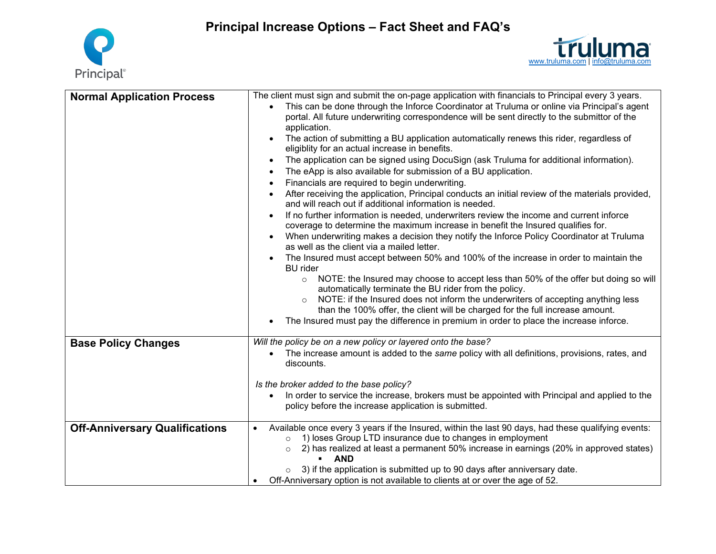**Principal Increase Options – Fact Sheet and FAQ's**





| <b>Normal Application Process</b>     | The client must sign and submit the on-page application with financials to Principal every 3 years.<br>This can be done through the Inforce Coordinator at Truluma or online via Principal's agent<br>portal. All future underwriting correspondence will be sent directly to the submittor of the<br>application.<br>The action of submitting a BU application automatically renews this rider, regardless of<br>eligiblity for an actual increase in benefits.<br>The application can be signed using DocuSign (ask Truluma for additional information).<br>The eApp is also available for submission of a BU application.<br>Financials are required to begin underwriting.<br>$\bullet$<br>After receiving the application, Principal conducts an initial review of the materials provided,<br>and will reach out if additional information is needed.<br>If no further information is needed, underwriters review the income and current inforce<br>$\bullet$<br>coverage to determine the maximum increase in benefit the Insured qualifies for.<br>When underwriting makes a decision they notify the Inforce Policy Coordinator at Truluma<br>$\bullet$<br>as well as the client via a mailed letter.<br>The Insured must accept between 50% and 100% of the increase in order to maintain the<br><b>BU</b> rider<br>NOTE: the Insured may choose to accept less than 50% of the offer but doing so will<br>$\circ$<br>automatically terminate the BU rider from the policy.<br>NOTE: if the Insured does not inform the underwriters of accepting anything less<br>$\circ$<br>than the 100% offer, the client will be charged for the full increase amount. |
|---------------------------------------|----------------------------------------------------------------------------------------------------------------------------------------------------------------------------------------------------------------------------------------------------------------------------------------------------------------------------------------------------------------------------------------------------------------------------------------------------------------------------------------------------------------------------------------------------------------------------------------------------------------------------------------------------------------------------------------------------------------------------------------------------------------------------------------------------------------------------------------------------------------------------------------------------------------------------------------------------------------------------------------------------------------------------------------------------------------------------------------------------------------------------------------------------------------------------------------------------------------------------------------------------------------------------------------------------------------------------------------------------------------------------------------------------------------------------------------------------------------------------------------------------------------------------------------------------------------------------------------------------------------------------------------------------------------------|
| <b>Base Policy Changes</b>            | The Insured must pay the difference in premium in order to place the increase inforce.<br>Will the policy be on a new policy or layered onto the base?<br>The increase amount is added to the same policy with all definitions, provisions, rates, and<br>discounts.                                                                                                                                                                                                                                                                                                                                                                                                                                                                                                                                                                                                                                                                                                                                                                                                                                                                                                                                                                                                                                                                                                                                                                                                                                                                                                                                                                                                 |
|                                       | Is the broker added to the base policy?<br>In order to service the increase, brokers must be appointed with Principal and applied to the<br>policy before the increase application is submitted.                                                                                                                                                                                                                                                                                                                                                                                                                                                                                                                                                                                                                                                                                                                                                                                                                                                                                                                                                                                                                                                                                                                                                                                                                                                                                                                                                                                                                                                                     |
| <b>Off-Anniversary Qualifications</b> | Available once every 3 years if the Insured, within the last 90 days, had these qualifying events:<br>1) loses Group LTD insurance due to changes in employment<br>$\circ$<br>2) has realized at least a permanent 50% increase in earnings (20% in approved states)<br>$\circ$<br>AND<br>3) if the application is submitted up to 90 days after anniversary date.<br>Off-Anniversary option is not available to clients at or over the age of 52.                                                                                                                                                                                                                                                                                                                                                                                                                                                                                                                                                                                                                                                                                                                                                                                                                                                                                                                                                                                                                                                                                                                                                                                                                   |